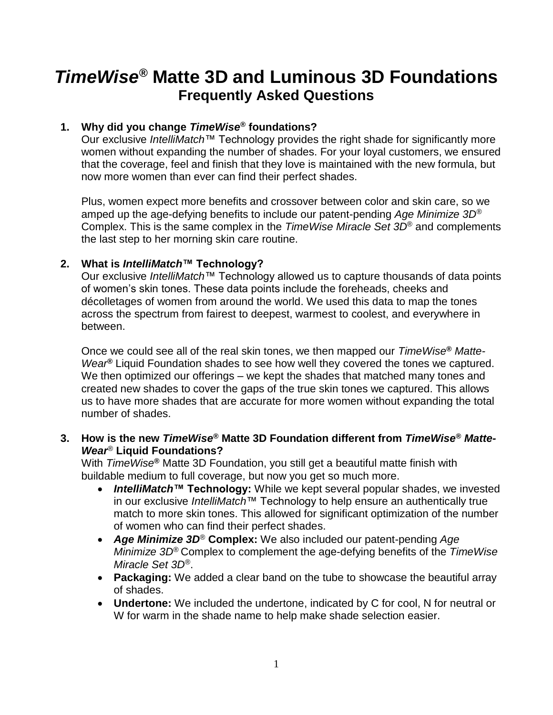# *TimeWise***® Matte 3D and Luminous 3D Foundations Frequently Asked Questions**

#### **1. Why did you change** *TimeWise***® foundations?**

Our exclusive *IntelliMatch*™ Technology provides the right shade for significantly more women without expanding the number of shades. For your loyal customers, we ensured that the coverage, feel and finish that they love is maintained with the new formula, but now more women than ever can find their perfect shades.

Plus, women expect more benefits and crossover between color and skin care, so we amped up the age-defying benefits to include our patent-pending *Age Minimize 3D*® Complex. This is the same complex in the *TimeWise Miracle Set 3D*® and complements the last step to her morning skin care routine.

#### **2. What is** *IntelliMatch***™ Technology?**

Our exclusive *IntelliMatch*™ Technology allowed us to capture thousands of data points of women's skin tones. These data points include the foreheads, cheeks and décolletages of women from around the world. We used this data to map the tones across the spectrum from fairest to deepest, warmest to coolest, and everywhere in between.

Once we could see all of the real skin tones, we then mapped our *TimeWise***®** *Matte-Wear***®** Liquid Foundation shades to see how well they covered the tones we captured. We then optimized our offerings – we kept the shades that matched many tones and created new shades to cover the gaps of the true skin tones we captured. This allows us to have more shades that are accurate for more women without expanding the total number of shades.

#### **3. How is the new** *TimeWise***® Matte 3D Foundation different from** *TimeWise***®** *Matte-Wear*® **Liquid Foundations?**

With *TimeWise***®** Matte 3D Foundation, you still get a beautiful matte finish with buildable medium to full coverage, but now you get so much more.

- *IntelliMatch***™ Technology:** While we kept several popular shades, we invested in our exclusive *IntelliMatch*™ Technology to help ensure an authentically true match to more skin tones. This allowed for significant optimization of the number of women who can find their perfect shades.
- *Age Minimize 3D*® **Complex:** We also included our patent-pending *Age Minimize 3D*® Complex to complement the age-defying benefits of the *TimeWise Miracle Set 3D*®.
- **Packaging:** We added a clear band on the tube to showcase the beautiful array of shades.
- **Undertone:** We included the undertone, indicated by C for cool, N for neutral or W for warm in the shade name to help make shade selection easier.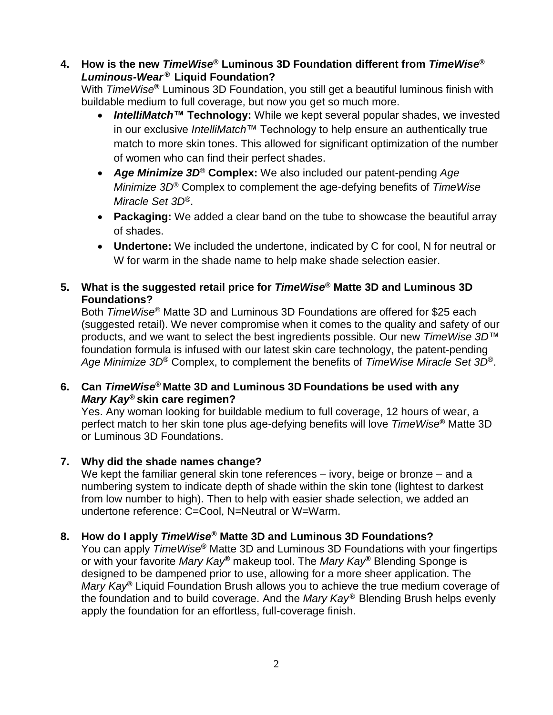# **4. How is the new** *TimeWise***® Luminous 3D Foundation different from** *TimeWise***®** *Luminous-Wear* **® Liquid Foundation?**

With *TimeWise***®** Luminous 3D Foundation, you still get a beautiful luminous finish with buildable medium to full coverage, but now you get so much more.

- *IntelliMatch***™ Technology:** While we kept several popular shades, we invested in our exclusive *IntelliMatch*™ Technology to help ensure an authentically true match to more skin tones. This allowed for significant optimization of the number of women who can find their perfect shades.
- *Age Minimize 3D*® **Complex:** We also included our patent-pending *Age Minimize 3D*® Complex to complement the age-defying benefits of *TimeWise Miracle Set 3D*®.
- **Packaging:** We added a clear band on the tube to showcase the beautiful array of shades.
- **Undertone:** We included the undertone, indicated by C for cool, N for neutral or W for warm in the shade name to help make shade selection easier.

# **5. What is the suggested retail price for** *TimeWise***® Matte 3D and Luminous 3D Foundations?**

Both *TimeWise*® Matte 3D and Luminous 3D Foundations are offered for \$25 each (suggested retail). We never compromise when it comes to the quality and safety of our products, and we want to select the best ingredients possible. Our new *TimeWise 3D*™ foundation formula is infused with our latest skin care technology, the patent-pending *Age Minimize 3D*® Complex, to complement the benefits of *TimeWise Miracle Set 3D*®.

# **6. Can** *TimeWise***® Matte 3D and Luminous 3D Foundations be used with any**  *Mary Kay***® skin care regimen?**

Yes. Any woman looking for buildable medium to full coverage, 12 hours of wear, a perfect match to her skin tone plus age-defying benefits will love *TimeWise***®** Matte 3D or Luminous 3D Foundations.

# **7. Why did the shade names change?**

We kept the familiar general skin tone references – ivory, beige or bronze – and a numbering system to indicate depth of shade within the skin tone (lightest to darkest from low number to high). Then to help with easier shade selection, we added an undertone reference: C=Cool, N=Neutral or W=Warm.

# **8. How do I apply** *TimeWise***® Matte 3D and Luminous 3D Foundations?**

You can apply *TimeWise***®** Matte 3D and Luminous 3D Foundations with your fingertips or with your favorite *Mary Kay***®** makeup tool. The *Mary Kay***®** Blending Sponge is designed to be dampened prior to use, allowing for a more sheer application. The *Mary Kay***®** Liquid Foundation Brush allows you to achieve the true medium coverage of the foundation and to build coverage. And the *Mary Kay* ® Blending Brush helps evenly apply the foundation for an effortless, full-coverage finish.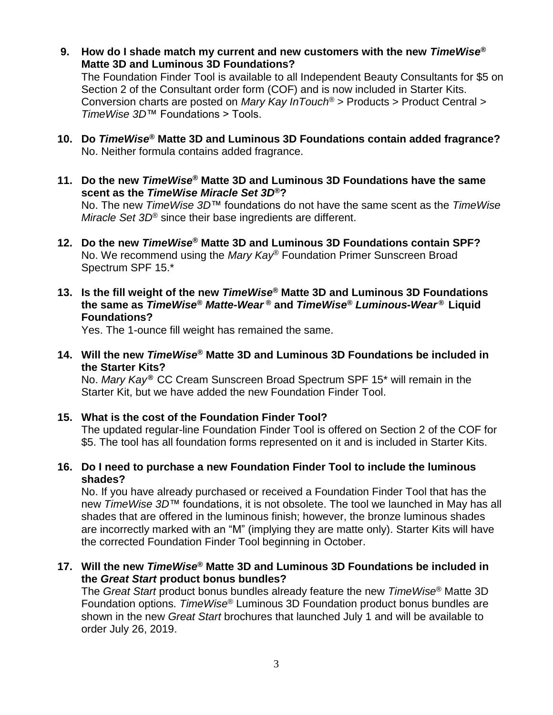**9. How do I shade match my current and new customers with the new** *TimeWise***® Matte 3D and Luminous 3D Foundations?**

The Foundation Finder Tool is available to all Independent Beauty Consultants for \$5 on Section 2 of the Consultant order form (COF) and is now included in Starter Kits. Conversion charts are posted on *Mary Kay InTouch®* > Products > Product Central > *TimeWise 3D*™ Foundations > Tools.

- **10. Do** *TimeWise***® Matte 3D and Luminous 3D Foundations contain added fragrance?** No. Neither formula contains added fragrance.
- **11. Do the new** *TimeWise***® Matte 3D and Luminous 3D Foundations have the same scent as the** *TimeWise Miracle Set 3D***®?**

No. The new *TimeWise 3D*™ foundations do not have the same scent as the *TimeWise Miracle Set 3D*® since their base ingredients are different.

- **12. Do the new** *TimeWise***® Matte 3D and Luminous 3D Foundations contain SPF?** No. We recommend using the *Mary Kay*® Foundation Primer Sunscreen Broad Spectrum SPF 15.\*
- **13. Is the fill weight of the new** *TimeWise***® Matte 3D and Luminous 3D Foundations the same as** *TimeWise***®** *Matte-Wear* **® and** *TimeWise***®** *Luminous-Wear* **® Liquid Foundations?**

Yes. The 1-ounce fill weight has remained the same.

**14. Will the new** *TimeWise***® Matte 3D and Luminous 3D Foundations be included in the Starter Kits?**

No. *Mary Kay* **®** CC Cream Sunscreen Broad Spectrum SPF 15\* will remain in the Starter Kit, but we have added the new Foundation Finder Tool.

- **15. What is the cost of the Foundation Finder Tool?** The updated regular-line Foundation Finder Tool is offered on Section 2 of the COF for \$5. The tool has all foundation forms represented on it and is included in Starter Kits.
- **16. Do I need to purchase a new Foundation Finder Tool to include the luminous shades?**

No. If you have already purchased or received a Foundation Finder Tool that has the new *TimeWise 3D*™ foundations, it is not obsolete. The tool we launched in May has all shades that are offered in the luminous finish; however, the bronze luminous shades are incorrectly marked with an "M" (implying they are matte only). Starter Kits will have the corrected Foundation Finder Tool beginning in October.

**17. Will the new** *TimeWise* **® Matte 3D and Luminous 3D Foundations be included in the** *Great Start* **product bonus bundles?**

The *Great Start* product bonus bundles already feature the new *TimeWise*® Matte 3D Foundation options. *TimeWise*® Luminous 3D Foundation product bonus bundles are shown in the new *Great Start* brochures that launched July 1 and will be available to order July 26, 2019.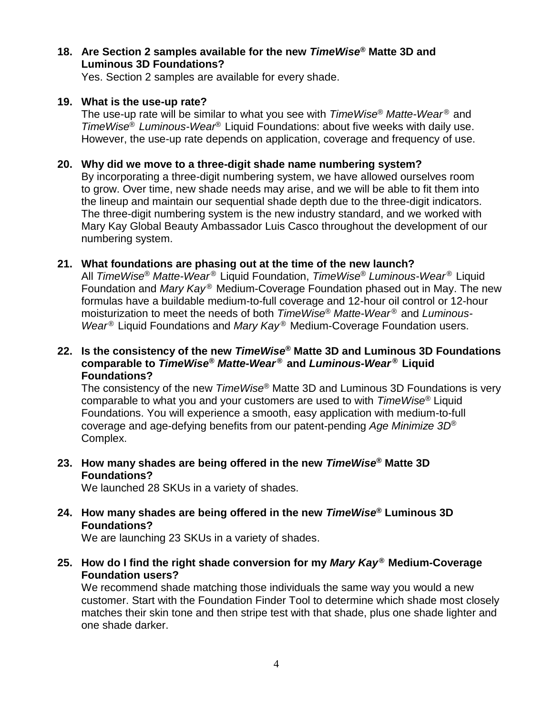#### **18. Are Section 2 samples available for the new** *TimeWise***® Matte 3D and Luminous 3D Foundations?**

Yes. Section 2 samples are available for every shade.

#### **19. What is the use-up rate?**

The use-up rate will be similar to what you see with *TimeWise*<sup>®</sup> Matte-Wear<sup>®</sup> and *TimeWise*® *Luminous-Wear*® Liquid Foundations: about five weeks with daily use. However, the use-up rate depends on application, coverage and frequency of use.

#### **20. Why did we move to a three-digit shade name numbering system?**

By incorporating a three-digit numbering system, we have allowed ourselves room to grow. Over time, new shade needs may arise, and we will be able to fit them into the lineup and maintain our sequential shade depth due to the three-digit indicators. The three-digit numbering system is the new industry standard, and we worked with Mary Kay Global Beauty Ambassador Luis Casco throughout the development of our numbering system.

#### **21. What foundations are phasing out at the time of the new launch?**

All *TimeWise*® *Matte-Wear* ® Liquid Foundation, *TimeWise*® *Luminous-Wear* ® Liquid Foundation and *Mary Kay* ® Medium-Coverage Foundation phased out in May. The new formulas have a buildable medium-to-full coverage and 12-hour oil control or 12-hour moisturization to meet the needs of both *TimeWise*® *Matte-Wear* ® and *Luminous-*Wear<sup>®</sup> Liquid Foundations and *Mary Kay*<sup>®</sup> Medium-Coverage Foundation users.

#### **22. Is the consistency of the new** *TimeWise***® Matte 3D and Luminous 3D Foundations comparable to** *TimeWise***®** *Matte-Wear* **® and** *Luminous-Wear* **® Liquid Foundations?**

The consistency of the new *TimeWise*® Matte 3D and Luminous 3D Foundations is very comparable to what you and your customers are used to with *TimeWise*® Liquid Foundations. You will experience a smooth, easy application with medium-to-full coverage and age-defying benefits from our patent-pending *Age Minimize 3D*® Complex.

#### **23. How many shades are being offered in the new** *TimeWise***® Matte 3D Foundations?**

We launched 28 SKUs in a variety of shades.

#### **24. How many shades are being offered in the new** *TimeWise***® Luminous 3D Foundations?**

We are launching 23 SKUs in a variety of shades.

#### **25. How do I find the right shade conversion for my** *Mary Kay* **® Medium-Coverage Foundation users?**

We recommend shade matching those individuals the same way you would a new customer. Start with the Foundation Finder Tool to determine which shade most closely matches their skin tone and then stripe test with that shade, plus one shade lighter and one shade darker.